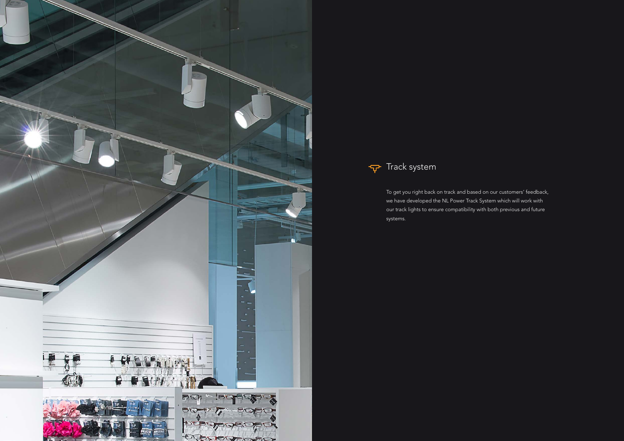



To get you right back on track and based on our customers' feedback, we have developed the NL Power Track System which will work with our track lights to ensure compatibility with both previous and future systems.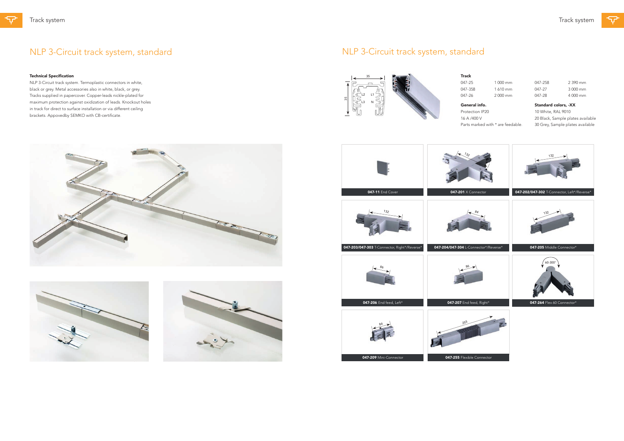ᡉ





## NLP 3-Circuit track system, standard

### Technical Specification

NLP 3-Circuit track system. Termoplastic connectors in white, black or grey. Metal accessories also in white, black, or grey. Tracks supplied in papercover. Copper-leads nickle-plated for maximum protection against oxidization of leads. Knockout holes in track for direct to surface installation or via different ceiling brackets. Appovedby SEMKO with CB-certificate.

047-25 1 000 mm 047-358 1 610 mm 047-26 2 000 mm



Track

General info.

Protection IP20

16 A /400 V

Parts marked with \* are feedable.









047-258 2 390 mm 047-27 3 000 mm 047-28 4 000 mm

Standard colors, -XX

10 White, RAL 9010 20 Black, Sample plates available 30 Grey, Sample plates available

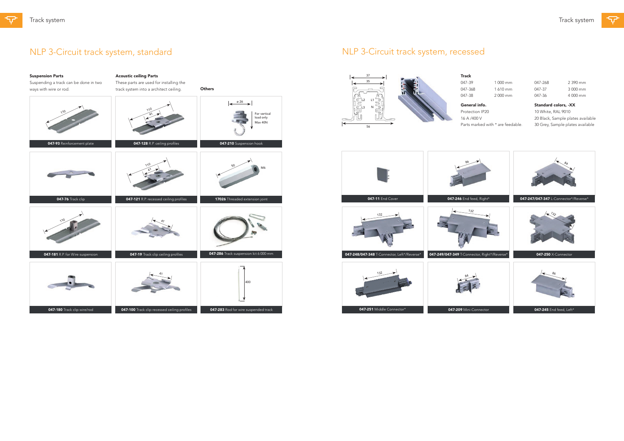



Suspension Parts

Suspending a track can be done in two

 $110$ 

ways with wire or rod.

Acoustic ceiling Parts

These parts are used for installing the track system into a architect ceiling.

**Others** 

 $\left| \leftarrow \right.$   $\left| \leftarrow \right.$   $\left| \leftarrow \right.$   $\left| \leftarrow \right.$ 

量

41 110

| For vertical<br>load only<br>Max 40N | 56                      |
|--------------------------------------|-------------------------|
| sion hook                            |                         |
| $\overline{\phantom{a}}$<br>M6       |                         |
| tension joint                        | <b>047-11 End Cover</b> |
|                                      | 132                     |

| 047-93 Reinforcement plate       | 047-128 R.P. ceiling profiles                | 047-210 Suspension hook               |
|----------------------------------|----------------------------------------------|---------------------------------------|
|                                  | $\gamma\gamma_0$<br>ΔΛ                       | 50<br>M <sub>6</sub>                  |
| 047-76 Track clip                | 047-121 R.P. recessed ceiling profiles       | 17026 Threaded extension joint        |
| $\gamma\gamma_0$                 |                                              |                                       |
| 047-181 R.P. for Wire suspension | 047-19 Track clip ceiling profiles           | 047-286 Track suspension kit 6 000 mm |
|                                  |                                              | 400                                   |
| 047-180 Track clip wire/rod      | 047-100 Track clip recessed ceiling profiles | 047-283 Rod for wire suspended track  |
|                                  |                                              |                                       |

047-39 1 000 mm 047-368 1 610 mm 047-38 2 000 mm

047-268 2 390 mm 047-37 3 000 mm 047-36 4 000 mm

# NLP 3-Circuit track system, standard



Track

General info. Protection IP20 16 A /400 V Parts marked with \* are feedable.



Standard colors, -XX

10 White, RAL 9010 20 Black, Sample plates available 30 Grey, Sample plates available

# NLP 3-Circuit track system, recessed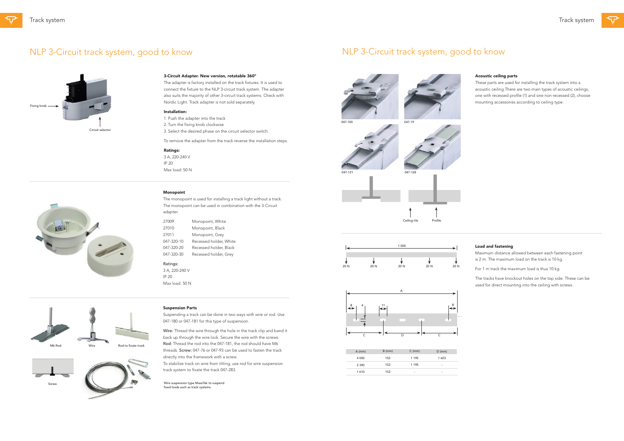### 3-Circuit Adapter. New version, rotatable 360°

The adapter is factory installed on the track fixtures. It is used to connect the fixture to the NLP 3-circuit track system. The adapter also suits the majority of other 3-circuit track systems. Check with Nordic Light. Track adapter is not sold separately.

### Installation:

1. Push the adapter into the track 2. Turn the fixing knob clockwise 3. Select the desired phase on the circuit selector switch.

To remove the adapter from the track reverse the installation steps.

### Ratings:

3 A, 220-240 V IP 20 Max load: 50 N



### Monopoint

The monopoint is used for installing a track light without a track. The monopoint can be used in combination with the 3-Circuit adapter.

Wire: Thread the wire through the hole in the track clip and band it back up through the wire lock. Secure the wire with the screws. Rod: Thread the rod into the 047-181, the rod should have M6 threads. Screw: 047-76 or 047-93 can be used to fasten the track directly into the framework with a screw. To stabilize track on wire from tilting, use rod for wire suspension track system to fixate the track 047-283.

| 27009      | Monopoint, White       |
|------------|------------------------|
| 27010      | Monopoint, Black       |
| 27011      | Monopoint, Grey        |
| 047-320-10 | Recessed holder, White |
| 047-320-20 | Recessed holder, Black |
| 047-320-30 | Recessed holder, Grey  |

### Ratings:

3 A, 220-240 V IP 20 Max load: 50 N

### Suspension Parts

Suspending a track can be done in two ways with wire or rod. Use 047-180 or 047-181 for this type of suspension.





Wire suspension type MaseTek to suspend

fixed loads such as track systems.

Screw

## NLP 3-Circuit track system, good to know

### Acoustic ceiling parts

These parts are used for installing the track system into a acoustic ceiling.There are two main types of acoustic ceilings, one with recessed profile (1) and one non recessed (2), choose mounting accessories according to ceiling type.







### Load and fastening

Maximum distance allowed between each fastening point is 2 m. The maximum load on the track is 10 kg.

For 1 m track the maximum load is thus 10 kg.

The tracks have knockout holes on the top side. These can be used for direct mounting into the ceiling with screws.

| $A$ (mm) | $B$ (mm) | $C \text{ (mm)}$ | $D$ (mm) |
|----------|----------|------------------|----------|
| 4 0 0 0  | 152      | 1 1 9 5          | 1603     |
| 2 3 9 0  | 152      | 1 1 9 5          | ٠        |
| 1610     | 152      | ۰                | ۰        |







## NLP 3-Circuit track system, good to know